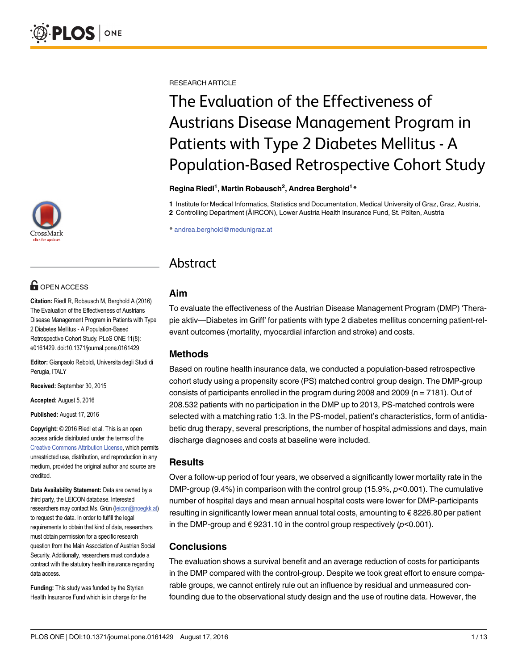

# **G** OPEN ACCESS

Citation: Riedl R, Robausch M, Berghold A (2016) The Evaluation of the Effectiveness of Austrians Disease Management Program in Patients with Type 2 Diabetes Mellitus - A Population-Based Retrospective Cohort Study. PLoS ONE 11(8): e0161429. doi:10.1371/journal.pone.0161429

Editor: Gianpaolo Reboldi, Universita degli Studi di Perugia, ITALY

Received: September 30, 2015

Accepted: August 5, 2016

Published: August 17, 2016

Copyright: © 2016 Riedl et al. This is an open access article distributed under the terms of the [Creative Commons Attribution License,](http://creativecommons.org/licenses/by/4.0/) which permits unrestricted use, distribution, and reproduction in any medium, provided the original author and source are credited.

Data Availability Statement: Data are owned by a third party, the LEICON database. Interested researchers may contact Ms. Grün (leicon@noegkk.at) to request the data. In order to fulfill the legal requirements to obtain that kind of data, researchers must obtain permission for a specific research question from the Main Association of Austrian Social Security. Additionally, researchers must conclude a contract with the statutory health insurance regarding data access.

Funding: This study was funded by the Styrian Health Insurance Fund which is in charge for the RESEARCH ARTICLE

# The Evaluation of the Effectiveness of Austrians Disease Management Program in Patients with Type 2 Diabetes Mellitus - A Population-Based Retrospective Cohort Study

#### Regina Riedl<sup>1</sup>, Martin Robausch<sup>2</sup>, Andrea Berghold<sup>1</sup> \*

1 Institute for Medical Informatics, Statistics and Documentation, Medical University of Graz, Graz, Austria, 2 Controlling Department (ÄIRCON), Lower Austria Health Insurance Fund, St. Pölten, Austria

\* andrea.berghold@medunigraz.at

# Abstract

# Aim

To evaluate the effectiveness of the Austrian Disease Management Program (DMP) 'Therapie aktiv—Diabetes im Griff' for patients with type 2 diabetes mellitus concerning patient-relevant outcomes (mortality, myocardial infarction and stroke) and costs.

# Methods

Based on routine health insurance data, we conducted a population-based retrospective cohort study using a propensity score (PS) matched control group design. The DMP-group consists of participants enrolled in the program during 2008 and 2009 (n = 7181). Out of 208.532 patients with no participation in the DMP up to 2013, PS-matched controls were selected with a matching ratio 1:3. In the PS-model, patient's characteristics, form of antidiabetic drug therapy, several prescriptions, the number of hospital admissions and days, main discharge diagnoses and costs at baseline were included.

# **Results**

Over a follow-up period of four years, we observed a significantly lower mortality rate in the DMP-group (9.4%) in comparison with the control group (15.9%,  $p$ <0.001). The cumulative number of hospital days and mean annual hospital costs were lower for DMP-participants resulting in significantly lower mean annual total costs, amounting to € 8226.80 per patient in the DMP-group and  $\epsilon$  9231.10 in the control group respectively ( $p$ <0.001).

# Conclusions

The evaluation shows a survival benefit and an average reduction of costs for participants in the DMP compared with the control-group. Despite we took great effort to ensure comparable groups, we cannot entirely rule out an influence by residual and unmeasured confounding due to the observational study design and the use of routine data. However, the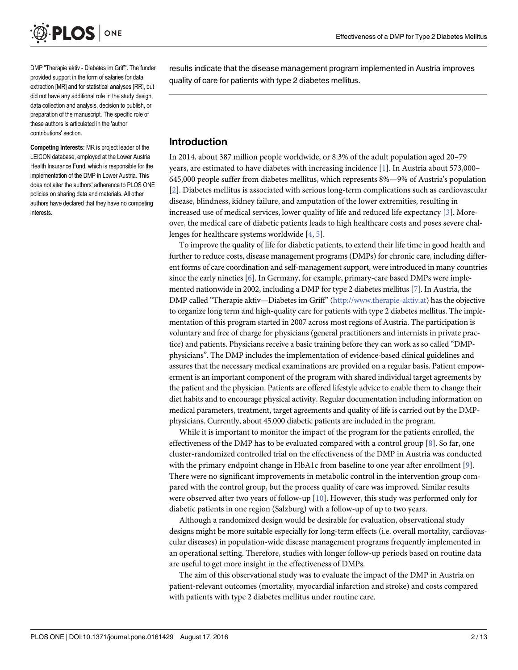<span id="page-1-0"></span>

DMP "Therapie aktiv - Diabetes im Griff". The funder provided support in the form of salaries for data extraction [MR] and for statistical analyses [RR], but did not have any additional role in the study design, data collection and analysis, decision to publish, or preparation of the manuscript. The specific role of these authors is articulated in the 'author contributions' section.

Competing Interests: MR is project leader of the LEICON database, employed at the Lower Austria Health Insurance Fund, which is responsible for the implementation of the DMP in Lower Austria. This does not alter the authors' adherence to PLOS ONE policies on sharing data and materials. All other authors have declared that they have no competing interests.

results indicate that the disease management program implemented in Austria improves quality of care for patients with type 2 diabetes mellitus.

# Introduction

In 2014, about 387 million people worldwide, or 8.3% of the adult population aged 20–79 years, are estimated to have diabetes with increasing incidence  $[1]$  $[1]$  $[1]$ . In Austria about 573,000– 645,000 people suffer from diabetes mellitus, which represents 8%—9% of Austria's population [\[2](#page-10-0)]. Diabetes mellitus is associated with serious long-term complications such as cardiovascular disease, blindness, kidney failure, and amputation of the lower extremities, resulting in increased use of medical services, lower quality of life and reduced life expectancy [\[3\]](#page-10-0). Moreover, the medical care of diabetic patients leads to high healthcare costs and poses severe challenges for healthcare systems worldwide [\[4](#page-10-0), [5](#page-10-0)].

To improve the quality of life for diabetic patients, to extend their life time in good health and further to reduce costs, disease management programs (DMPs) for chronic care, including different forms of care coordination and self-management support, were introduced in many countries since the early nineties [\[6\]](#page-10-0). In Germany, for example, primary-care based DMPs were implemented nationwide in 2002, including a DMP for type 2 diabetes mellitus [\[7\]](#page-10-0). In Austria, the DMP called "Therapie aktiv—Diabetes im Griff" ([http://www.therapie-aktiv.at\)](http://www.therapie-aktiv.at) has the objective to organize long term and high-quality care for patients with type 2 diabetes mellitus. The implementation of this program started in 2007 across most regions of Austria. The participation is voluntary and free of charge for physicians (general practitioners and internists in private practice) and patients. Physicians receive a basic training before they can work as so called "DMPphysicians". The DMP includes the implementation of evidence-based clinical guidelines and assures that the necessary medical examinations are provided on a regular basis. Patient empowerment is an important component of the program with shared individual target agreements by the patient and the physician. Patients are offered lifestyle advice to enable them to change their diet habits and to encourage physical activity. Regular documentation including information on medical parameters, treatment, target agreements and quality of life is carried out by the DMPphysicians. Currently, about 45.000 diabetic patients are included in the program.

While it is important to monitor the impact of the program for the patients enrolled, the effectiveness of the DMP has to be evaluated compared with a control group  $[8]$  $[8]$  $[8]$ . So far, one cluster-randomized controlled trial on the effectiveness of the DMP in Austria was conducted with the primary endpoint change in HbA1c from baseline to one year after enrollment [\[9](#page-10-0)]. There were no significant improvements in metabolic control in the intervention group compared with the control group, but the process quality of care was improved. Similar results were observed after two years of follow-up  $[10]$ . However, this study was performed only for diabetic patients in one region (Salzburg) with a follow-up of up to two years.

Although a randomized design would be desirable for evaluation, observational study designs might be more suitable especially for long-term effects (i.e. overall mortality, cardiovascular diseases) in population-wide disease management programs frequently implemented in an operational setting. Therefore, studies with longer follow-up periods based on routine data are useful to get more insight in the effectiveness of DMPs.

The aim of this observational study was to evaluate the impact of the DMP in Austria on patient-relevant outcomes (mortality, myocardial infarction and stroke) and costs compared with patients with type 2 diabetes mellitus under routine care.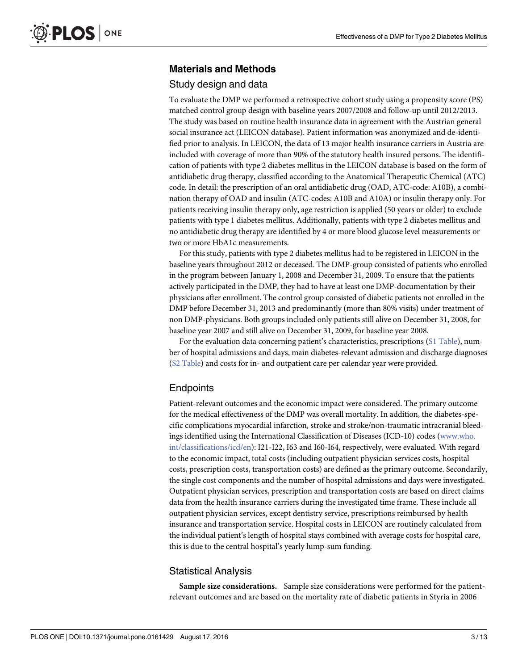# Materials and Methods

#### Study design and data

To evaluate the DMP we performed a retrospective cohort study using a propensity score (PS) matched control group design with baseline years 2007/2008 and follow-up until 2012/2013. The study was based on routine health insurance data in agreement with the Austrian general social insurance act (LEICON database). Patient information was anonymized and de-identified prior to analysis. In LEICON, the data of 13 major health insurance carriers in Austria are included with coverage of more than 90% of the statutory health insured persons. The identification of patients with type 2 diabetes mellitus in the LEICON database is based on the form of antidiabetic drug therapy, classified according to the Anatomical Therapeutic Chemical (ATC) code. In detail: the prescription of an oral antidiabetic drug (OAD, ATC-code: A10B), a combination therapy of OAD and insulin (ATC-codes: A10B and A10A) or insulin therapy only. For patients receiving insulin therapy only, age restriction is applied (50 years or older) to exclude patients with type 1 diabetes mellitus. Additionally, patients with type 2 diabetes mellitus and no antidiabetic drug therapy are identified by 4 or more blood glucose level measurements or two or more HbA1c measurements.

For this study, patients with type 2 diabetes mellitus had to be registered in LEICON in the baseline years throughout 2012 or deceased. The DMP-group consisted of patients who enrolled in the program between January 1, 2008 and December 31, 2009. To ensure that the patients actively participated in the DMP, they had to have at least one DMP-documentation by their physicians after enrollment. The control group consisted of diabetic patients not enrolled in the DMP before December 31, 2013 and predominantly (more than 80% visits) under treatment of non DMP-physicians. Both groups included only patients still alive on December 31, 2008, for baseline year 2007 and still alive on December 31, 2009, for baseline year 2008.

For the evaluation data concerning patient's characteristics, prescriptions ([S1 Table\)](#page-9-0), number of hospital admissions and days, main diabetes-relevant admission and discharge diagnoses [\(S2 Table](#page-9-0)) and costs for in- and outpatient care per calendar year were provided.

# **Endpoints**

Patient-relevant outcomes and the economic impact were considered. The primary outcome for the medical effectiveness of the DMP was overall mortality. In addition, the diabetes-specific complications myocardial infarction, stroke and stroke/non-traumatic intracranial bleedings identified using the International Classification of Diseases (ICD-10) codes [\(www.who.](http://www.who.int/classifications/icd/en) [int/classifications/icd/en](http://www.who.int/classifications/icd/en)): I21-I22, I63 and I60-I64, respectively, were evaluated. With regard to the economic impact, total costs (including outpatient physician services costs, hospital costs, prescription costs, transportation costs) are defined as the primary outcome. Secondarily, the single cost components and the number of hospital admissions and days were investigated. Outpatient physician services, prescription and transportation costs are based on direct claims data from the health insurance carriers during the investigated time frame. These include all outpatient physician services, except dentistry service, prescriptions reimbursed by health insurance and transportation service. Hospital costs in LEICON are routinely calculated from the individual patient's length of hospital stays combined with average costs for hospital care, this is due to the central hospital's yearly lump-sum funding.

#### Statistical Analysis

Sample size considerations. Sample size considerations were performed for the patientrelevant outcomes and are based on the mortality rate of diabetic patients in Styria in 2006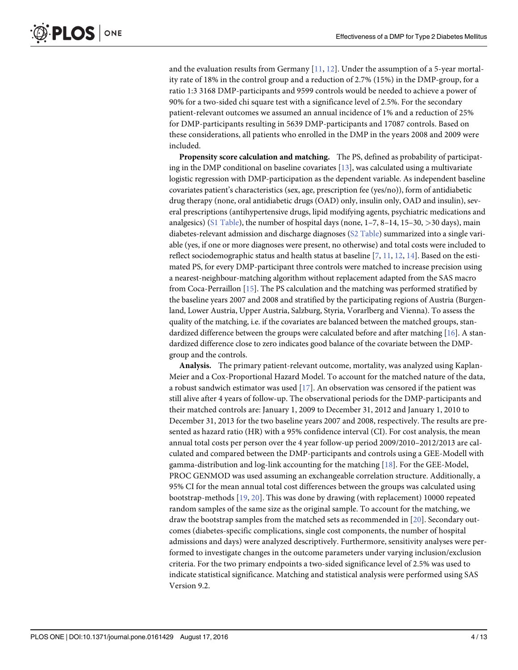<span id="page-3-0"></span>and the evaluation results from Germany  $[11, 12]$  $[11, 12]$  $[11, 12]$  $[11, 12]$ . Under the assumption of a 5-year mortality rate of 18% in the control group and a reduction of 2.7% (15%) in the DMP-group, for a ratio 1:3 3168 DMP-participants and 9599 controls would be needed to achieve a power of 90% for a two-sided chi square test with a significance level of 2.5%. For the secondary patient-relevant outcomes we assumed an annual incidence of 1% and a reduction of 25% for DMP-participants resulting in 5639 DMP-participants and 17087 controls. Based on these considerations, all patients who enrolled in the DMP in the years 2008 and 2009 were included.

Propensity score calculation and matching. The PS, defined as probability of participating in the DMP conditional on baseline covariates  $[13]$ , was calculated using a multivariate logistic regression with DMP-participation as the dependent variable. As independent baseline covariates patient's characteristics (sex, age, prescription fee (yes/no)), form of antidiabetic drug therapy (none, oral antidiabetic drugs (OAD) only, insulin only, OAD and insulin), several prescriptions (antihypertensive drugs, lipid modifying agents, psychiatric medications and analgesics) ([S1 Table\)](#page-9-0), the number of hospital days (none,  $1-7$ ,  $8-14$ ,  $15-30$ ,  $>30$  days), main diabetes-relevant admission and discharge diagnoses [\(S2 Table](#page-9-0)) summarized into a single variable (yes, if one or more diagnoses were present, no otherwise) and total costs were included to reflect sociodemographic status and health status at baseline  $[7, 11, 12, 14]$  $[7, 11, 12, 14]$  $[7, 11, 12, 14]$  $[7, 11, 12, 14]$  $[7, 11, 12, 14]$  $[7, 11, 12, 14]$  $[7, 11, 12, 14]$  $[7, 11, 12, 14]$ . Based on the estimated PS, for every DMP-participant three controls were matched to increase precision using a nearest-neighbour-matching algorithm without replacement adapted from the SAS macro from Coca-Perraillon [[15](#page-10-0)]. The PS calculation and the matching was performed stratified by the baseline years 2007 and 2008 and stratified by the participating regions of Austria (Burgenland, Lower Austria, Upper Austria, Salzburg, Styria, Vorarlberg and Vienna). To assess the quality of the matching, i.e. if the covariates are balanced between the matched groups, standardized difference between the groups were calculated before and after matching [\[16](#page-10-0)]. A standardized difference close to zero indicates good balance of the covariate between the DMPgroup and the controls.

Analysis. The primary patient-relevant outcome, mortality, was analyzed using Kaplan-Meier and a Cox-Proportional Hazard Model. To account for the matched nature of the data, a robust sandwich estimator was used  $[17]$  $[17]$ . An observation was censored if the patient was still alive after 4 years of follow-up. The observational periods for the DMP-participants and their matched controls are: January 1, 2009 to December 31, 2012 and January 1, 2010 to December 31, 2013 for the two baseline years 2007 and 2008, respectively. The results are presented as hazard ratio (HR) with a 95% confidence interval (CI). For cost analysis, the mean annual total costs per person over the 4 year follow-up period 2009/2010–2012/2013 are calculated and compared between the DMP-participants and controls using a GEE-Modell with gamma-distribution and log-link accounting for the matching [[18](#page-11-0)]. For the GEE-Model, PROC GENMOD was used assuming an exchangeable correlation structure. Additionally, a 95% CI for the mean annual total cost differences between the groups was calculated using bootstrap-methods [[19,](#page-11-0) [20\]](#page-11-0). This was done by drawing (with replacement) 10000 repeated random samples of the same size as the original sample. To account for the matching, we draw the bootstrap samples from the matched sets as recommended in [\[20](#page-11-0)]. Secondary outcomes (diabetes-specific complications, single cost components, the number of hospital admissions and days) were analyzed descriptively. Furthermore, sensitivity analyses were performed to investigate changes in the outcome parameters under varying inclusion/exclusion criteria. For the two primary endpoints a two-sided significance level of 2.5% was used to indicate statistical significance. Matching and statistical analysis were performed using SAS Version 9.2.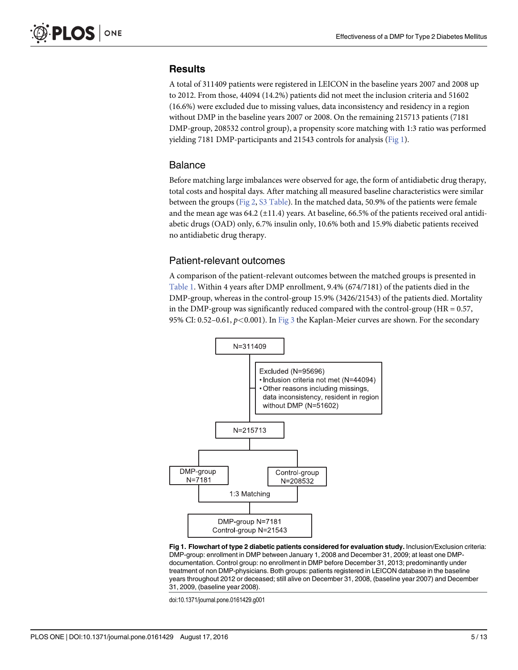# <span id="page-4-0"></span>**Results**

A total of 311409 patients were registered in LEICON in the baseline years 2007 and 2008 up to 2012. From those, 44094 (14.2%) patients did not meet the inclusion criteria and 51602 (16.6%) were excluded due to missing values, data inconsistency and residency in a region without DMP in the baseline years 2007 or 2008. On the remaining 215713 patients (7181 DMP-group, 208532 control group), a propensity score matching with 1:3 ratio was performed yielding 7181 DMP-participants and 21543 controls for analysis (Fig 1).

#### Balance

Before matching large imbalances were observed for age, the form of antidiabetic drug therapy, total costs and hospital days. After matching all measured baseline characteristics were similar between the groups ([Fig 2](#page-5-0), [S3 Table](#page-9-0)). In the matched data, 50.9% of the patients were female and the mean age was  $64.2$  ( $\pm$ 11.4) years. At baseline,  $66.5\%$  of the patients received oral antidiabetic drugs (OAD) only, 6.7% insulin only, 10.6% both and 15.9% diabetic patients received no antidiabetic drug therapy.

# Patient-relevant outcomes

A comparison of the patient-relevant outcomes between the matched groups is presented in [Table 1](#page-6-0). Within 4 years after DMP enrollment, 9.4% (674/7181) of the patients died in the DMP-group, whereas in the control-group 15.9% (3426/21543) of the patients died. Mortality in the DMP-group was significantly reduced compared with the control-group ( $HR = 0.57$ , 95% CI: 0.52–0.61,  $p < 0.001$ ). In  $\underline{Fig 3}$  $\underline{Fig 3}$  $\underline{Fig 3}$  the Kaplan-Meier curves are shown. For the secondary



Fig 1. Flowchart of type 2 diabetic patients considered for evaluation study. Inclusion/Exclusion criteria: DMP-group: enrollment in DMP between January 1, 2008 and December 31, 2009; at least one DMPdocumentation. Control group: no enrollment in DMP before December 31, 2013; predominantly under treatment of non DMP-physicians. Both groups: patients registered in LEICON database in the baseline years throughout 2012 or deceased; still alive on December 31, 2008, (baseline year 2007) and December 31, 2009, (baseline year 2008).

doi:10.1371/journal.pone.0161429.g001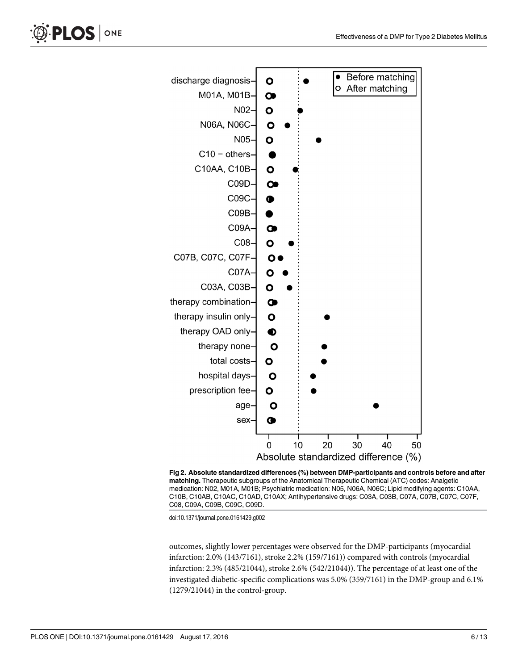<span id="page-5-0"></span>



[Fig 2. A](#page-4-0)bsolute standardized differences (%) between DMP-participants and controls before and after matching. Therapeutic subgroups of the Anatomical Therapeutic Chemical (ATC) codes: Analgetic medication: N02, M01A, M01B; Psychiatric medication: N05, N06A, N06C; Lipid modifying agents: C10AA, C10B, C10AB, C10AC, C10AD, C10AX; Antihypertensive drugs: C03A, C03B, C07A, C07B, C07C, C07F, C08, C09A, C09B, C09C, C09D.

doi:10.1371/journal.pone.0161429.g002

outcomes, slightly lower percentages were observed for the DMP-participants (myocardial infarction: 2.0% (143/7161), stroke 2.2% (159/7161)) compared with controls (myocardial infarction: 2.3% (485/21044), stroke 2.6% (542/21044)). The percentage of at least one of the investigated diabetic-specific complications was 5.0% (359/7161) in the DMP-group and 6.1% (1279/21044) in the control-group.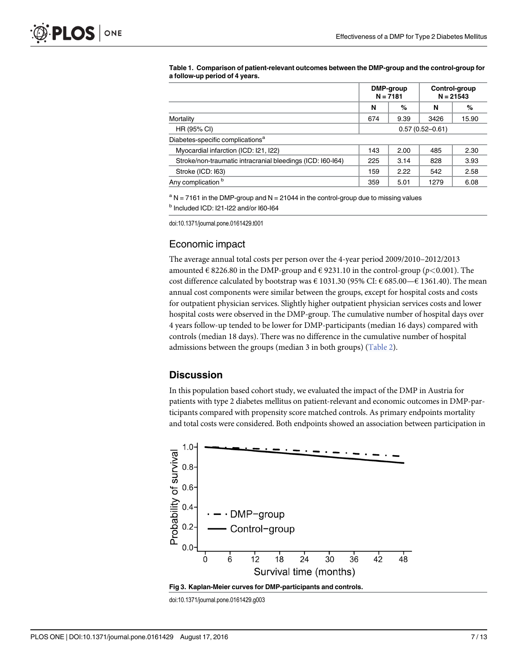|                                                            | DMP-group<br>$N = 7181$ |      | Control-group<br>$N = 21543$ |       |
|------------------------------------------------------------|-------------------------|------|------------------------------|-------|
|                                                            | N                       | %    | N                            | %     |
| Mortality                                                  | 674                     | 9.39 | 3426                         | 15.90 |
| HR (95% CI)                                                | $0.57(0.52 - 0.61)$     |      |                              |       |
| Diabetes-specific complications <sup>a</sup>               |                         |      |                              |       |
| Myocardial infarction (ICD: I21, I22)                      | 143                     | 2.00 | 485                          | 2.30  |
| Stroke/non-traumatic intracranial bleedings (ICD: 160-164) | 225                     | 3.14 | 828                          | 3.93  |
| Stroke (ICD: 163)                                          | 159                     | 2.22 | 542                          | 2.58  |
| Any complication <sup>b</sup>                              | 359                     | 5.01 | 1279                         | 6.08  |

<span id="page-6-0"></span>[Table 1.](#page-4-0) Comparison of patient-relevant outcomes between the DMP-group and the control-group for a follow-up period of 4 years.

 $a$  N = 7161 in the DMP-group and N = 21044 in the control-group due to missing values <sup>b</sup> Included ICD: I21-I22 and/or I60-I64

doi:10.1371/journal.pone.0161429.t001

# Economic impact

The average annual total costs per person over the 4-year period 2009/2010–2012/2013 amounted  $\in$  8226.80 in the DMP-group and  $\in$  9231.10 in the control-group (p<0.001). The cost difference calculated by bootstrap was  $\in$  1031.30 (95% CI:  $\in$  685.00— $\in$  1361.40). The mean annual cost components were similar between the groups, except for hospital costs and costs for outpatient physician services. Slightly higher outpatient physician services costs and lower hospital costs were observed in the DMP-group. The cumulative number of hospital days over 4 years follow-up tended to be lower for DMP-participants (median 16 days) compared with controls (median 18 days). There was no difference in the cumulative number of hospital admissions between the groups (median 3 in both groups) [\(Table 2\)](#page-7-0).

# **Discussion**

In this population based cohort study, we evaluated the impact of the DMP in Austria for patients with type 2 diabetes mellitus on patient-relevant and economic outcomes in DMP-participants compared with propensity score matched controls. As primary endpoints mortality and total costs were considered. Both endpoints showed an association between participation in



doi:10.1371/journal.pone.0161429.g003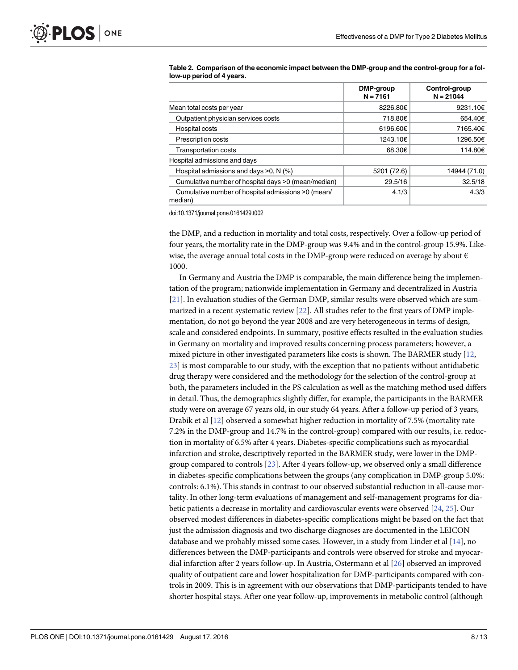|                                                               | DMP-group<br>$N = 7161$ | Control-group<br>$N = 21044$ |  |
|---------------------------------------------------------------|-------------------------|------------------------------|--|
| Mean total costs per year                                     | 8226.80€                | 9231.10€                     |  |
| Outpatient physician services costs                           | 718.80€                 | 654.40€                      |  |
| Hospital costs                                                | 6196.60€                | 7165.40€                     |  |
| <b>Prescription costs</b>                                     | 1243.10€                | 1296.50€                     |  |
| <b>Transportation costs</b>                                   | 68.30€                  | 114.80€                      |  |
| Hospital admissions and days                                  |                         |                              |  |
| Hospital admissions and days $>0$ , N (%)                     | 5201 (72.6)             | 14944 (71.0)                 |  |
| Cumulative number of hospital days >0 (mean/median)           | 29.5/16                 | 32.5/18                      |  |
| Cumulative number of hospital admissions >0 (mean/<br>median) | 4.1/3                   | 4.3/3                        |  |

<span id="page-7-0"></span>[Table 2.](#page-6-0) Comparison of the economic impact between the DMP-group and the control-group for a follow-up period of 4 years.

doi:10.1371/journal.pone.0161429.t002

the DMP, and a reduction in mortality and total costs, respectively. Over a follow-up period of four years, the mortality rate in the DMP-group was 9.4% and in the control-group 15.9%. Likewise, the average annual total costs in the DMP-group were reduced on average by about  $\epsilon$ 1000.

In Germany and Austria the DMP is comparable, the main difference being the implementation of the program; nationwide implementation in Germany and decentralized in Austria [\[21](#page-11-0)]. In evaluation studies of the German DMP, similar results were observed which are summarized in a recent systematic review [\[22\]](#page-11-0). All studies refer to the first years of DMP implementation, do not go beyond the year 2008 and are very heterogeneous in terms of design, scale and considered endpoints. In summary, positive effects resulted in the evaluation studies in Germany on mortality and improved results concerning process parameters; however, a mixed picture in other investigated parameters like costs is shown. The BARMER study [\[12,](#page-10-0) [23\]](#page-11-0) is most comparable to our study, with the exception that no patients without antidiabetic drug therapy were considered and the methodology for the selection of the control-group at both, the parameters included in the PS calculation as well as the matching method used differs in detail. Thus, the demographics slightly differ, for example, the participants in the BARMER study were on average 67 years old, in our study 64 years. After a follow-up period of 3 years, Drabik et al [[12\]](#page-10-0) observed a somewhat higher reduction in mortality of 7.5% (mortality rate 7.2% in the DMP-group and 14.7% in the control-group) compared with our results, i.e. reduction in mortality of 6.5% after 4 years. Diabetes-specific complications such as myocardial infarction and stroke, descriptively reported in the BARMER study, were lower in the DMPgroup compared to controls  $[23]$ . After 4 years follow-up, we observed only a small difference in diabetes-specific complications between the groups (any complication in DMP-group 5.0%: controls: 6.1%). This stands in contrast to our observed substantial reduction in all-cause mortality. In other long-term evaluations of management and self-management programs for diabetic patients a decrease in mortality and cardiovascular events were observed [[24](#page-11-0), [25](#page-11-0)]. Our observed modest differences in diabetes-specific complications might be based on the fact that just the admission diagnosis and two discharge diagnoses are documented in the LEICON database and we probably missed some cases. However, in a study from Linder et al  $[14]$  $[14]$ , no differences between the DMP-participants and controls were observed for stroke and myocardial infarction after 2 years follow-up. In Austria, Ostermann et al [\[26](#page-11-0)] observed an improved quality of outpatient care and lower hospitalization for DMP-participants compared with controls in 2009. This is in agreement with our observations that DMP-participants tended to have shorter hospital stays. After one year follow-up, improvements in metabolic control (although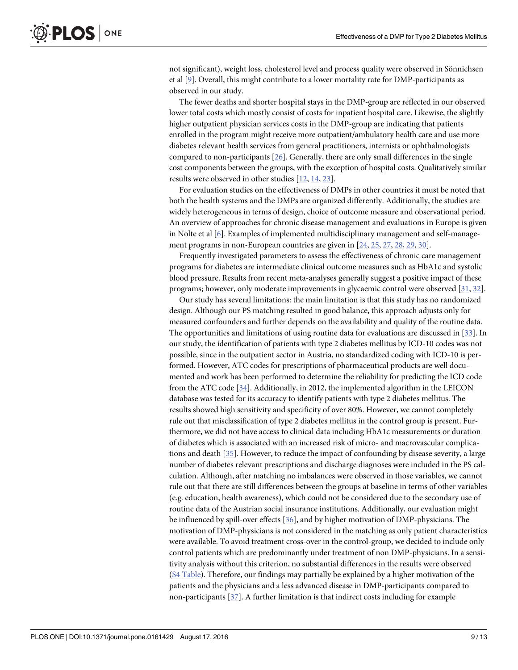<span id="page-8-0"></span>not significant), weight loss, cholesterol level and process quality were observed in Sönnichsen et al [[9\]](#page-10-0). Overall, this might contribute to a lower mortality rate for DMP-participants as observed in our study.

The fewer deaths and shorter hospital stays in the DMP-group are reflected in our observed lower total costs which mostly consist of costs for inpatient hospital care. Likewise, the slightly higher outpatient physician services costs in the DMP-group are indicating that patients enrolled in the program might receive more outpatient/ambulatory health care and use more diabetes relevant health services from general practitioners, internists or ophthalmologists compared to non-participants  $[26]$  $[26]$  $[26]$ . Generally, there are only small differences in the single cost components between the groups, with the exception of hospital costs. Qualitatively similar results were observed in other studies [\[12](#page-10-0), [14](#page-10-0), [23](#page-11-0)].

For evaluation studies on the effectiveness of DMPs in other countries it must be noted that both the health systems and the DMPs are organized differently. Additionally, the studies are widely heterogeneous in terms of design, choice of outcome measure and observational period. An overview of approaches for chronic disease management and evaluations in Europe is given in Nolte et al [\[6](#page-10-0)]. Examples of implemented multidisciplinary management and self-manage-ment programs in non-European countries are given in [[24](#page-11-0), [25](#page-11-0), [27](#page-11-0), [28](#page-11-0), [29](#page-11-0), [30](#page-11-0)].

Frequently investigated parameters to assess the effectiveness of chronic care management programs for diabetes are intermediate clinical outcome measures such as HbA1c and systolic blood pressure. Results from recent meta-analyses generally suggest a positive impact of these programs; however, only moderate improvements in glycaemic control were observed [\[31,](#page-11-0) [32\]](#page-11-0).

Our study has several limitations: the main limitation is that this study has no randomized design. Although our PS matching resulted in good balance, this approach adjusts only for measured confounders and further depends on the availability and quality of the routine data. The opportunities and limitations of using routine data for evaluations are discussed in [\[33\]](#page-11-0). In our study, the identification of patients with type 2 diabetes mellitus by ICD-10 codes was not possible, since in the outpatient sector in Austria, no standardized coding with ICD-10 is performed. However, ATC codes for prescriptions of pharmaceutical products are well documented and work has been performed to determine the reliability for predicting the ICD code from the ATC code [[34](#page-11-0)]. Additionally, in 2012, the implemented algorithm in the LEICON database was tested for its accuracy to identify patients with type 2 diabetes mellitus. The results showed high sensitivity and specificity of over 80%. However, we cannot completely rule out that misclassification of type 2 diabetes mellitus in the control group is present. Furthermore, we did not have access to clinical data including HbA1c measurements or duration of diabetes which is associated with an increased risk of micro- and macrovascular complications and death [[35](#page-11-0)]. However, to reduce the impact of confounding by disease severity, a large number of diabetes relevant prescriptions and discharge diagnoses were included in the PS calculation. Although, after matching no imbalances were observed in those variables, we cannot rule out that there are still differences between the groups at baseline in terms of other variables (e.g. education, health awareness), which could not be considered due to the secondary use of routine data of the Austrian social insurance institutions. Additionally, our evaluation might be influenced by spill-over effects [\[36](#page-11-0)], and by higher motivation of DMP-physicians. The motivation of DMP-physicians is not considered in the matching as only patient characteristics were available. To avoid treatment cross-over in the control-group, we decided to include only control patients which are predominantly under treatment of non DMP-physicians. In a sensitivity analysis without this criterion, no substantial differences in the results were observed [\(S4 Table](#page-9-0)). Therefore, our findings may partially be explained by a higher motivation of the patients and the physicians and a less advanced disease in DMP-participants compared to non-participants [\[37\]](#page-12-0). A further limitation is that indirect costs including for example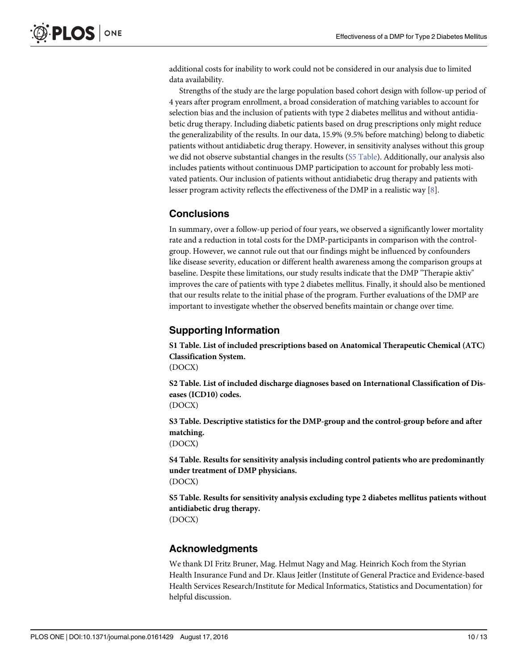<span id="page-9-0"></span>additional costs for inability to work could not be considered in our analysis due to limited data availability.

Strengths of the study are the large population based cohort design with follow-up period of 4 years after program enrollment, a broad consideration of matching variables to account for selection bias and the inclusion of patients with type 2 diabetes mellitus and without antidiabetic drug therapy. Including diabetic patients based on drug prescriptions only might reduce the generalizability of the results. In our data, 15.9% (9.5% before matching) belong to diabetic patients without antidiabetic drug therapy. However, in sensitivity analyses without this group we did not observe substantial changes in the results (S5 Table). Additionally, our analysis also includes patients without continuous DMP participation to account for probably less motivated patients. Our inclusion of patients without antidiabetic drug therapy and patients with lesser program activity reflects the effectiveness of the DMP in a realistic way  $[8]$  $[8]$ .

# Conclusions

In summary, over a follow-up period of four years, we observed a significantly lower mortality rate and a reduction in total costs for the DMP-participants in comparison with the controlgroup. However, we cannot rule out that our findings might be influenced by confounders like disease severity, education or different health awareness among the comparison groups at baseline. Despite these limitations, our study results indicate that the DMP "Therapie aktiv" improves the care of patients with type 2 diabetes mellitus. Finally, it should also be mentioned that our results relate to the initial phase of the program. Further evaluations of the DMP are important to investigate whether the observed benefits maintain or change over time.

# Supporting Information

[S1 Table](http://www.plosone.org/article/fetchSingleRepresentation.action?uri=info:doi/10.1371/journal.pone.0161429.s001). List of included prescriptions based on Anatomical Therapeutic Chemical (ATC) Classification System. (DOCX)

[S2 Table](http://www.plosone.org/article/fetchSingleRepresentation.action?uri=info:doi/10.1371/journal.pone.0161429.s002). List of included discharge diagnoses based on International Classification of Diseases (ICD10) codes.

(DOCX)

[S3 Table](http://www.plosone.org/article/fetchSingleRepresentation.action?uri=info:doi/10.1371/journal.pone.0161429.s003). Descriptive statistics for the DMP-group and the control-group before and after matching.

(DOCX)

[S4 Table](http://www.plosone.org/article/fetchSingleRepresentation.action?uri=info:doi/10.1371/journal.pone.0161429.s004). Results for sensitivity analysis including control patients who are predominantly under treatment of DMP physicians. (DOCX)

[S5 Table](http://www.plosone.org/article/fetchSingleRepresentation.action?uri=info:doi/10.1371/journal.pone.0161429.s005). Results for sensitivity analysis excluding type 2 diabetes mellitus patients without antidiabetic drug therapy.

(DOCX)

# Acknowledgments

We thank DI Fritz Bruner, Mag. Helmut Nagy and Mag. Heinrich Koch from the Styrian Health Insurance Fund and Dr. Klaus Jeitler (Institute of General Practice and Evidence-based Health Services Research/Institute for Medical Informatics, Statistics and Documentation) for helpful discussion.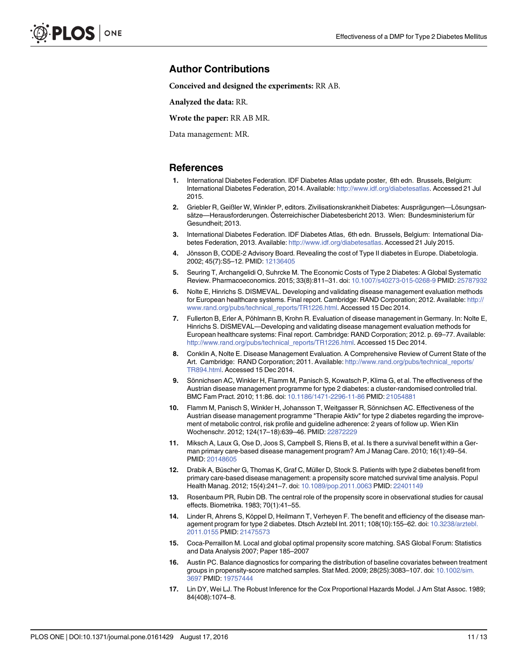# <span id="page-10-0"></span>Author Contributions

Conceived and designed the experiments: RR AB.

Analyzed the data: RR.

Wrote the paper: RR AB MR.

Data management: MR.

#### References

- [1.](#page-1-0) International Diabetes Federation. IDF Diabetes Atlas update poster, 6th edn. Brussels, Belgium: International Diabetes Federation, 2014. Available: [http://www.idf.org/diabetesatlas.](http://www.idf.org/diabetesatlas) Accessed 21 Jul 2015.
- [2.](#page-1-0) Griebler R, Geißler W, Winkler P, editors. Zivilisationskrankheit Diabetes: Ausprägungen—Lösungsansätze—Herausforderungen. Österreichischer Diabetesbericht 2013. Wien: Bundesministerium für Gesundheit; 2013.
- [3.](#page-1-0) International Diabetes Federation. IDF Diabetes Atlas, 6th edn. Brussels, Belgium: International Diabetes Federation, 2013. Available: [http://www.idf.org/diabetesatlas.](http://www.idf.org/diabetesatlas) Accessed 21 July 2015.
- [4.](#page-1-0) Jönsson B, CODE-2 Advisory Board. Revealing the cost of Type II diabetes in Europe. Diabetologia. 2002; 45(7):S5–12. PMID: [12136405](http://www.ncbi.nlm.nih.gov/pubmed/12136405)
- [5.](#page-1-0) Seuring T, Archangelidi O, Suhrcke M. The Economic Costs of Type 2 Diabetes: A Global Systematic Review. Pharmacoeconomics. 2015; 33(8):811–31. doi: [10.1007/s40273-015-0268-9](http://dx.doi.org/10.1007/s40273-015-0268-9) PMID: [25787932](http://www.ncbi.nlm.nih.gov/pubmed/25787932)
- [6.](#page-1-0) Nolte E, Hinrichs S. DISMEVAL. Developing and validating disease management evaluation methods for European healthcare systems. Final report. Cambridge: RAND Corporation; 2012. Available: [http://](http://www.rand.org/pubs/technical_reports/TR1226.html) [www.rand.org/pubs/technical\\_reports/TR1226.html.](http://www.rand.org/pubs/technical_reports/TR1226.html) Accessed 15 Dec 2014.
- [7.](#page-1-0) Fullerton B, Erler A, Pöhlmann B, Krohn R. Evaluation of disease management in Germany. In: Nolte E, Hinrichs S. DISMEVAL—Developing and validating disease management evaluation methods for European healthcare systems: Final report. Cambridge: RAND Corporation; 2012. p. 69–77. Available: [http://www.rand.org/pubs/technical\\_reports/TR1226.html](http://www.rand.org/pubs/technical_reports/TR1226.html). Accessed 15 Dec 2014.
- [8.](#page-1-0) Conklin A, Nolte E. Disease Management Evaluation. A Comprehensive Review of Current State of the Art. Cambridge: RAND Corporation; 2011. Available: [http://www.rand.org/pubs/technical\\_reports/](http://www.rand.org/pubs/technical_reports/TR894.html) [TR894.html.](http://www.rand.org/pubs/technical_reports/TR894.html) Accessed 15 Dec 2014.
- [9.](#page-1-0) Sönnichsen AC, Winkler H, Flamm M, Panisch S, Kowatsch P, Klima G, et al. The effectiveness of the Austrian disease management programme for type 2 diabetes: a cluster-randomised controlled trial. BMC Fam Pract. 2010; 11:86. doi: [10.1186/1471-2296-11-86](http://dx.doi.org/10.1186/1471-2296-11-86) PMID: [21054881](http://www.ncbi.nlm.nih.gov/pubmed/21054881)
- [10.](#page-1-0) Flamm M, Panisch S, Winkler H, Johansson T, Weitgasser R, Sönnichsen AC. Effectiveness of the Austrian disease management programme "Therapie Aktiv" for type 2 diabetes regarding the improvement of metabolic control, risk profile and guideline adherence: 2 years of follow up. Wien Klin Wochenschr. 2012; 124(17–18):639–46. PMID: [22872229](http://www.ncbi.nlm.nih.gov/pubmed/22872229)
- [11.](#page-3-0) Miksch A, Laux G, Ose D, Joos S, Campbell S, Riens B, et al. Is there a survival benefit within a German primary care-based disease management program? Am J Manag Care. 2010; 16(1):49–54. PMID: [20148605](http://www.ncbi.nlm.nih.gov/pubmed/20148605)
- [12.](#page-3-0) Drabik A, Büscher G, Thomas K, Graf C, Müller D, Stock S. Patients with type 2 diabetes benefit from primary care-based disease management: a propensity score matched survival time analysis. Popul Health Manag. 2012; 15(4):241–7. doi: [10.1089/pop.2011.0063](http://dx.doi.org/10.1089/pop.2011.0063) PMID: [22401149](http://www.ncbi.nlm.nih.gov/pubmed/22401149)
- [13.](#page-3-0) Rosenbaum PR, Rubin DB. The central role of the propensity score in observational studies for causal effects. Biometrika. 1983; 70(1):41–55.
- [14.](#page-3-0) Linder R, Ahrens S, Köppel D, Heilmann T, Verheyen F. The benefit and efficiency of the disease man-agement program for type 2 diabetes. Dtsch Arztebl Int. 2011; 108(10):155-62. doi: [10.3238/arztebl.](http://dx.doi.org/10.3238/arztebl.2011.0155) [2011.0155](http://dx.doi.org/10.3238/arztebl.2011.0155) PMID: [21475573](http://www.ncbi.nlm.nih.gov/pubmed/21475573)
- [15.](#page-3-0) Coca-Perraillon M. Local and global optimal propensity score matching. SAS Global Forum: Statistics and Data Analysis 2007; Paper 185–2007
- [16.](#page-3-0) Austin PC. Balance diagnostics for comparing the distribution of baseline covariates between treatment groups in propensity-score matched samples. Stat Med. 2009; 28(25):3083-107. doi: [10.1002/sim.](http://dx.doi.org/10.1002/sim.3697) [3697](http://dx.doi.org/10.1002/sim.3697) PMID: [19757444](http://www.ncbi.nlm.nih.gov/pubmed/19757444)
- [17.](#page-3-0) Lin DY, Wei LJ. The Robust Inference for the Cox Proportional Hazards Model. J Am Stat Assoc. 1989; 84(408):1074–8.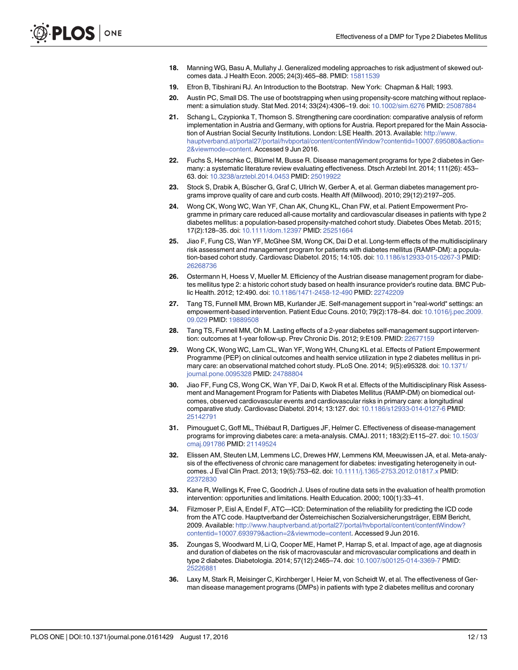- <span id="page-11-0"></span>[18.](#page-3-0) Manning WG, Basu A, Mullahy J. Generalized modeling approaches to risk adjustment of skewed outcomes data. J Health Econ. 2005; 24(3):465–88. PMID: [15811539](http://www.ncbi.nlm.nih.gov/pubmed/15811539)
- [19.](#page-3-0) Efron B, Tibshirani RJ. An Introduction to the Bootstrap. New York: Chapman & Hall; 1993.
- [20.](#page-3-0) Austin PC, Small DS. The use of bootstrapping when using propensity-score matching without replace-ment: a simulation study. Stat Med. 2014; 33(24):4306-19. doi: [10.1002/sim.6276](http://dx.doi.org/10.1002/sim.6276) PMID: [25087884](http://www.ncbi.nlm.nih.gov/pubmed/25087884)
- [21.](#page-7-0) Schang L, Czypionka T, Thomson S. Strengthening care coordination: comparative analysis of reform implementation in Austria and Germany, with options for Austria. Report prepared for the Main Association of Austrian Social Security Institutions. London: LSE Health. 2013. Available: [http://www.](http://www.hauptverband.at/portal27/portal/hvbportal/content/contentWindow?contentid=10007.695080&action=2&viewmode�=�content) [hauptverband.at/portal27/portal/hvbportal/content/contentWindow?contentid=10007.695080&action=](http://www.hauptverband.at/portal27/portal/hvbportal/content/contentWindow?contentid=10007.695080&action=2&viewmode�=�content) [2&viewmode=content.](http://www.hauptverband.at/portal27/portal/hvbportal/content/contentWindow?contentid=10007.695080&action=2&viewmode�=�content) Accessed 9 Jun 2016.
- [22.](#page-7-0) Fuchs S, Henschke C, Blümel M, Busse R. Disease management programs for type 2 diabetes in Germany: a systematic literature review evaluating effectiveness. Dtsch Arztebl Int. 2014; 111(26): 453– 63. doi: [10.3238/arztebl.2014.0453](http://dx.doi.org/10.3238/arztebl.2014.0453) PMID: [25019922](http://www.ncbi.nlm.nih.gov/pubmed/25019922)
- [23.](#page-7-0) Stock S, Drabik A, Büscher G, Graf C, Ullrich W, Gerber A, et al. German diabetes management programs improve quality of care and curb costs. Health Aff (Millwood). 2010; 29(12):2197–205.
- [24.](#page-7-0) Wong CK, Wong WC, Wan YF, Chan AK, Chung KL, Chan FW, et al. Patient Empowerment Programme in primary care reduced all-cause mortality and cardiovascular diseases in patients with type 2 diabetes mellitus: a population-based propensity-matched cohort study. Diabetes Obes Metab. 2015; 17(2):128–35. doi: [10.1111/dom.12397](http://dx.doi.org/10.1111/dom.12397) PMID: [25251664](http://www.ncbi.nlm.nih.gov/pubmed/25251664)
- [25.](#page-7-0) Jiao F, Fung CS, Wan YF, McGhee SM, Wong CK, Dai D et al. Long-term effects of the multidisciplinary risk assessment and management program for patients with diabetes mellitus (RAMP-DM): a population-based cohort study. Cardiovasc Diabetol. 2015; 14:105. doi: [10.1186/s12933-015-0267-3](http://dx.doi.org/10.1186/s12933-015-0267-3) PMID: [26268736](http://www.ncbi.nlm.nih.gov/pubmed/26268736)
- [26.](#page-7-0) Ostermann H, Hoess V, Mueller M. Efficiency of the Austrian disease management program for diabetes mellitus type 2: a historic cohort study based on health insurance provider's routine data. BMC Public Health. 2012; 12:490. doi: [10.1186/1471-2458-12-490](http://dx.doi.org/10.1186/1471-2458-12-490) PMID: [22742209](http://www.ncbi.nlm.nih.gov/pubmed/22742209)
- [27.](#page-8-0) Tang TS, Funnell MM, Brown MB, Kurlander JE. Self-management support in "real-world" settings: an empowerment-based intervention. Patient Educ Couns. 2010; 79(2):178–84. doi: [10.1016/j.pec.2009.](http://dx.doi.org/10.1016/j.pec.2009.09.029) [09.029](http://dx.doi.org/10.1016/j.pec.2009.09.029) PMID: [19889508](http://www.ncbi.nlm.nih.gov/pubmed/19889508)
- [28.](#page-8-0) Tang TS, Funnell MM, Oh M. Lasting effects of a 2-year diabetes self-management support intervention: outcomes at 1-year follow-up. Prev Chronic Dis. 2012; 9:E109. PMID: [22677159](http://www.ncbi.nlm.nih.gov/pubmed/22677159)
- [29.](#page-8-0) Wong CK, Wong WC, Lam CL, Wan YF, Wong WH, Chung KL et al. Effects of Patient Empowerment Programme (PEP) on clinical outcomes and health service utilization in type 2 diabetes mellitus in pri-mary care: an observational matched cohort study. PLoS One. 2014; 9(5):e95328. doi: [10.1371/](http://dx.doi.org/10.1371/journal.pone.0095328) [journal.pone.0095328](http://dx.doi.org/10.1371/journal.pone.0095328) PMID: [24788804](http://www.ncbi.nlm.nih.gov/pubmed/24788804)
- [30.](#page-8-0) Jiao FF, Fung CS, Wong CK, Wan YF, Dai D, Kwok R et al. Effects of the Multidisciplinary Risk Assessment and Management Program for Patients with Diabetes Mellitus (RAMP-DM) on biomedical outcomes, observed cardiovascular events and cardiovascular risks in primary care: a longitudinal comparative study. Cardiovasc Diabetol. 2014; 13:127. doi: [10.1186/s12933-014-0127-6](http://dx.doi.org/10.1186/s12933-014-0127-6) PMID: [25142791](http://www.ncbi.nlm.nih.gov/pubmed/25142791)
- [31.](#page-8-0) Pimouguet C, Goff ML, Thiébaut R, Dartigues JF, Helmer C. Effectiveness of disease-management programs for improving diabetes care: a meta-analysis. CMAJ. 2011; 183(2):E115–27. doi: [10.1503/](http://dx.doi.org/10.1503/cmaj.091786) [cmaj.091786](http://dx.doi.org/10.1503/cmaj.091786) PMID: [21149524](http://www.ncbi.nlm.nih.gov/pubmed/21149524)
- [32.](#page-8-0) Elissen AM, Steuten LM, Lemmens LC, Drewes HW, Lemmens KM, Meeuwissen JA, et al. Meta-analysis of the effectiveness of chronic care management for diabetes: investigating heterogeneity in outcomes. J Eval Clin Pract. 2013; 19(5):753–62. doi: [10.1111/j.1365-2753.2012.01817.x](http://dx.doi.org/10.1111/j.1365-2753.2012.01817.x) PMID: [22372830](http://www.ncbi.nlm.nih.gov/pubmed/22372830)
- [33.](#page-8-0) Kane R, Wellings K, Free C, Goodrich J. Uses of routine data sets in the evaluation of health promotion intervention: opportunities and limitations. Health Education. 2000; 100(1):33–41.
- [34.](#page-8-0) Filzmoser P, Eisl A, Endel F, ATC—ICD: Determination of the reliability for predicting the ICD code from the ATC code. Hauptverband der Österreichischen Sozialversicherungsträger, EBM Bericht, 2009. Available: [http://www.hauptverband.at/portal27/portal/hvbportal/content/contentWindow?](http://www.hauptverband.at/portal27/portal/hvbportal/content/contentWindow?contentid=10007.693979&action=2&viewmode�=�content) [contentid=10007.693979&action=2&viewmode=content](http://www.hauptverband.at/portal27/portal/hvbportal/content/contentWindow?contentid=10007.693979&action=2&viewmode�=�content). Accessed 9 Jun 2016.
- [35.](#page-8-0) Zoungas S, Woodward M, Li Q, Cooper ME, Hamet P, Harrap S, et al. Impact of age, age at diagnosis and duration of diabetes on the risk of macrovascular and microvascular complications and death in type 2 diabetes. Diabetologia. 2014; 57(12):2465–74. doi: [10.1007/s00125-014-3369-7](http://dx.doi.org/10.1007/s00125-014-3369-7) PMID: [25226881](http://www.ncbi.nlm.nih.gov/pubmed/25226881)
- [36.](#page-8-0) Laxy M, Stark R, Meisinger C, Kirchberger I, Heier M, von Scheidt W, et al. The effectiveness of German disease management programs (DMPs) in patients with type 2 diabetes mellitus and coronary